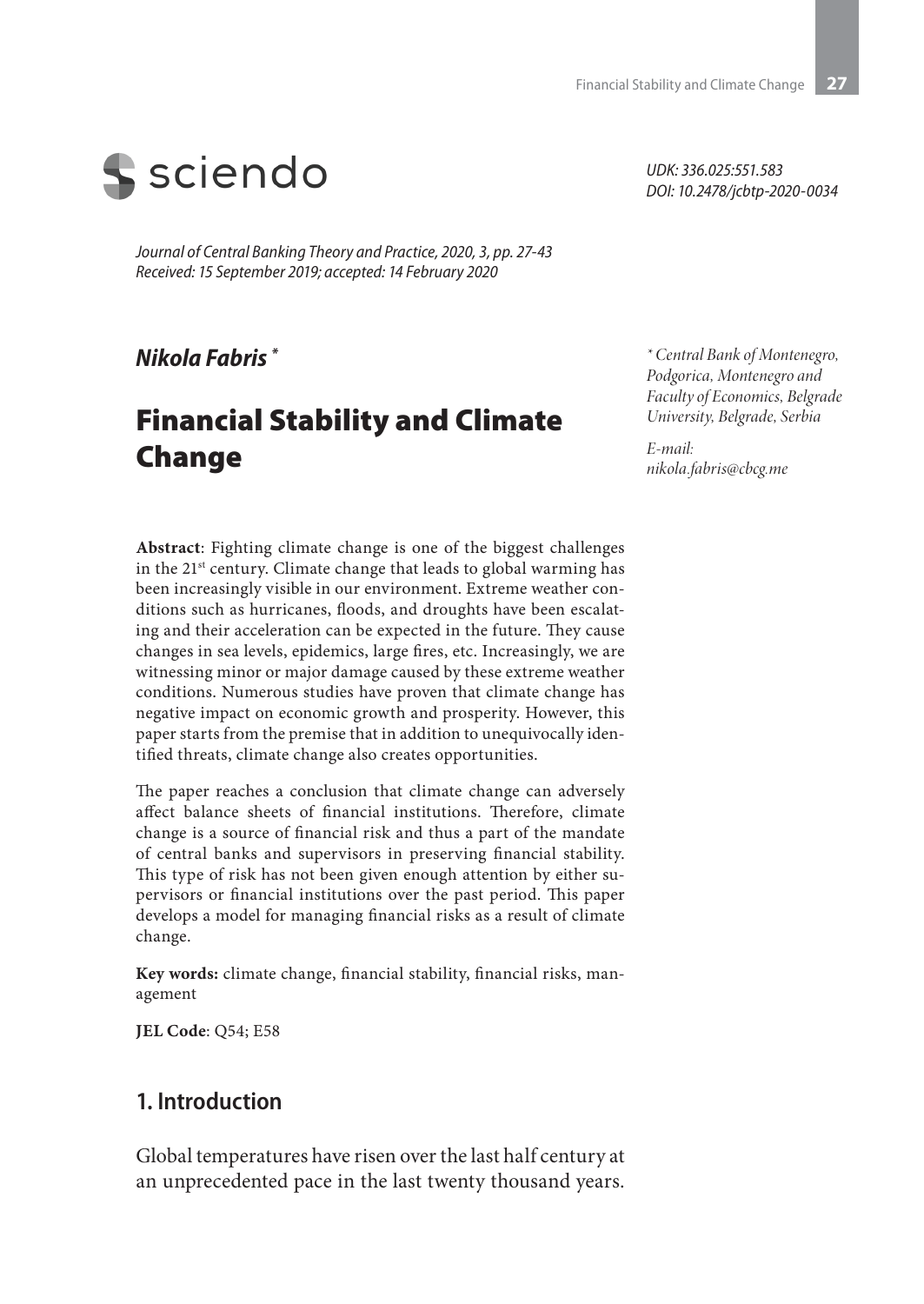

*Journal of Central Banking Theory and Practice, 2020, 3, pp. 27-43 Received: 15 September 2019; accepted: 14 February 2020*

### *Nikola Fabris \**

# Financial Stability and Climate Change

*UDK: 336.025:551.583 DOI: 10.2478/jcbtp-2020-0034*

*\* Central Bank of Montenegro, Podgorica, Montenegro and Faculty of Economics, Belgrade University, Belgrade, Serbia*

*E-mail: nikola.fabris@cbcg.me*

**Abstract**: Fighting climate change is one of the biggest challenges in the 21st century. Climate change that leads to global warming has been increasingly visible in our environment. Extreme weather conditions such as hurricanes, floods, and droughts have been escalating and their acceleration can be expected in the future. They cause changes in sea levels, epidemics, large fires, etc. Increasingly, we are witnessing minor or major damage caused by these extreme weather conditions. Numerous studies have proven that climate change has negative impact on economic growth and prosperity. However, this paper starts from the premise that in addition to unequivocally identified threats, climate change also creates opportunities.

The paper reaches a conclusion that climate change can adversely affect balance sheets of financial institutions. Therefore, climate change is a source of financial risk and thus a part of the mandate of central banks and supervisors in preserving financial stability. This type of risk has not been given enough attention by either supervisors or financial institutions over the past period. This paper develops a model for managing financial risks as a result of climate change.

**Key words:** climate change, financial stability, financial risks, management

**JEL Code**: Q54; E58

### **1. Introduction**

Global temperatures have risen over the last half century at an unprecedented pace in the last twenty thousand years.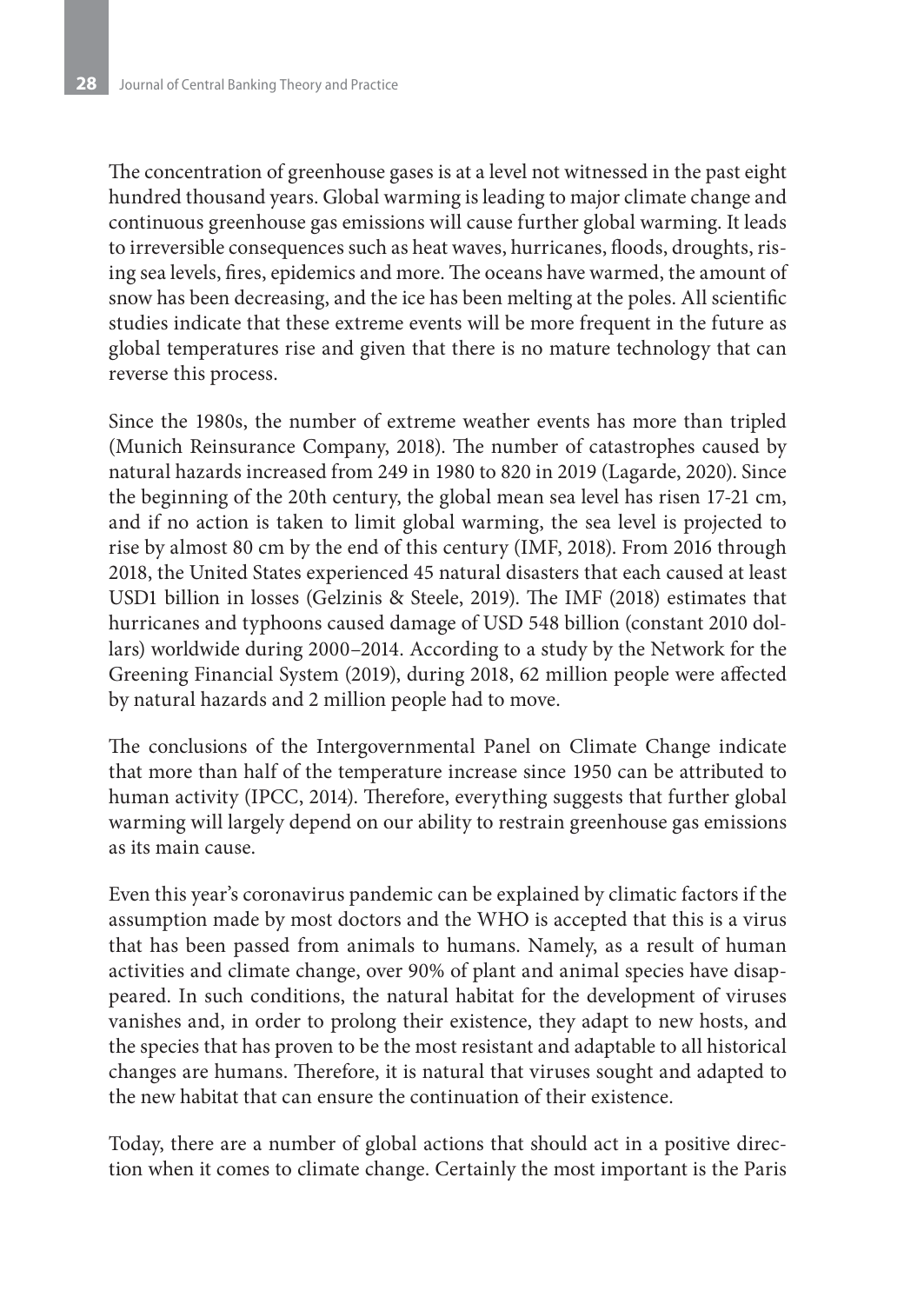The concentration of greenhouse gases is at a level not witnessed in the past eight hundred thousand years. Global warming is leading to major climate change and continuous greenhouse gas emissions will cause further global warming. It leads to irreversible consequences such as heat waves, hurricanes, floods, droughts, rising sea levels, fires, epidemics and more. The oceans have warmed, the amount of snow has been decreasing, and the ice has been melting at the poles. All scientific studies indicate that these extreme events will be more frequent in the future as global temperatures rise and given that there is no mature technology that can reverse this process.

Since the 1980s, the number of extreme weather events has more than tripled (Munich Reinsurance Company, 2018). The number of catastrophes caused by natural hazards increased from 249 in 1980 to 820 in 2019 (Lagarde, 2020). Since the beginning of the 20th century, the global mean sea level has risen 17-21 cm, and if no action is taken to limit global warming, the sea level is projected to rise by almost 80 cm by the end of this century (IMF, 2018). From 2016 through 2018, the United States experienced 45 natural disasters that each caused at least USD1 billion in losses (Gelzinis & Steele, 2019). The IMF (2018) estimates that hurricanes and typhoons caused damage of USD 548 billion (constant 2010 dollars) worldwide during 2000–2014. According to a study by the Network for the Greening Financial System (2019), during 2018, 62 million people were affected by natural hazards and 2 million people had to move.

The conclusions of the Intergovernmental Panel on Climate Change indicate that more than half of the temperature increase since 1950 can be attributed to human activity (IPCC, 2014). Therefore, everything suggests that further global warming will largely depend on our ability to restrain greenhouse gas emissions as its main cause.

Even this year's coronavirus pandemic can be explained by climatic factors if the assumption made by most doctors and the WHO is accepted that this is a virus that has been passed from animals to humans. Namely, as a result of human activities and climate change, over 90% of plant and animal species have disappeared. In such conditions, the natural habitat for the development of viruses vanishes and, in order to prolong their existence, they adapt to new hosts, and the species that has proven to be the most resistant and adaptable to all historical changes are humans. Therefore, it is natural that viruses sought and adapted to the new habitat that can ensure the continuation of their existence.

Today, there are a number of global actions that should act in a positive direction when it comes to climate change. Certainly the most important is the Paris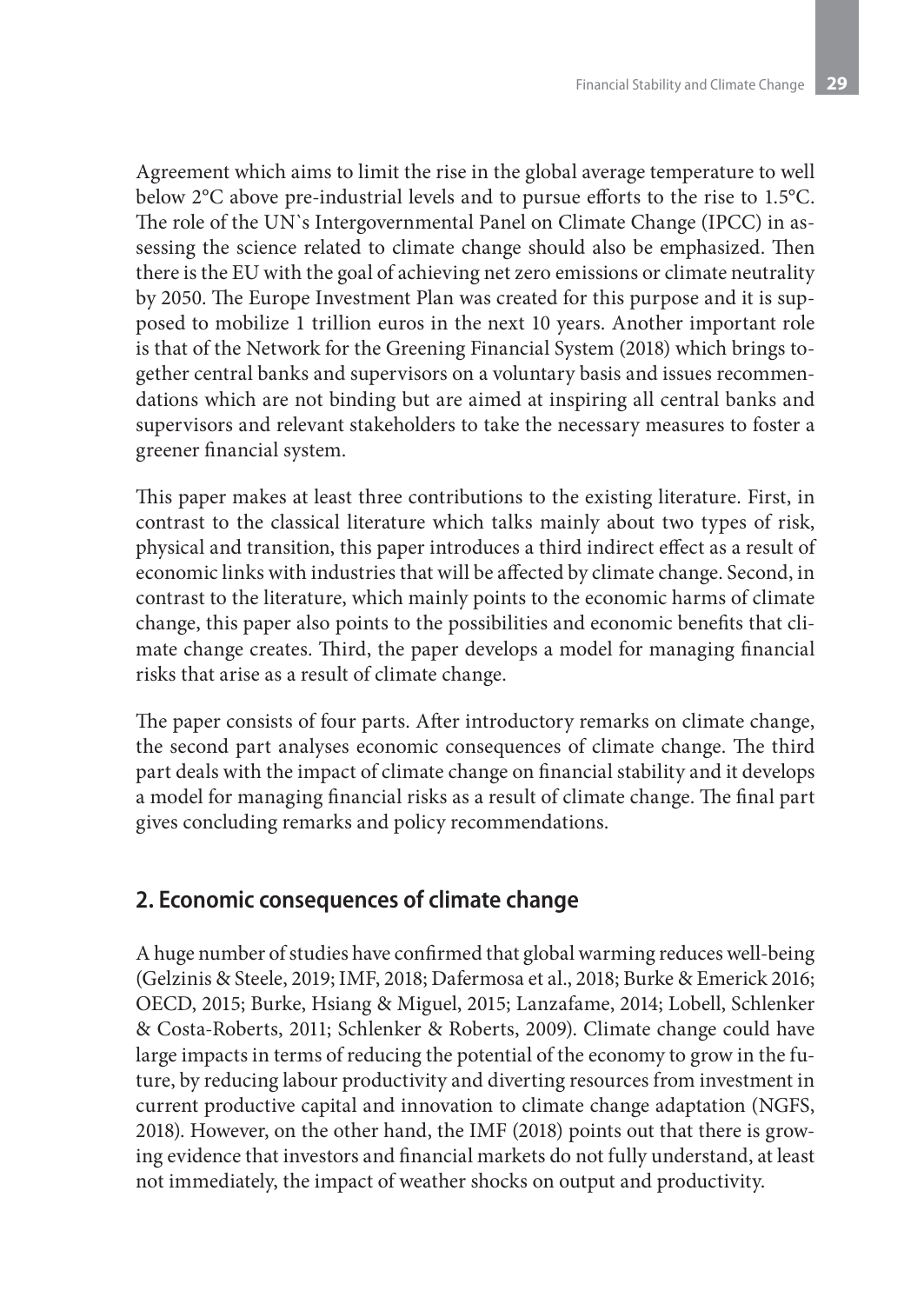Agreement which aims to limit the rise in the global average temperature to well below 2°C above pre-industrial levels and to pursue efforts to the rise to 1.5°C. The role of the UN`s Intergovernmental Panel on Climate Change (IPCC) in assessing the science related to climate change should also be emphasized. Then there is the EU with the goal of achieving net zero emissions or climate neutrality by 2050. The Europe Investment Plan was created for this purpose and it is supposed to mobilize 1 trillion euros in the next 10 years. Another important role is that of the Network for the Greening Financial System (2018) which brings together central banks and supervisors on a voluntary basis and issues recommendations which are not binding but are aimed at inspiring all central banks and supervisors and relevant stakeholders to take the necessary measures to foster a greener financial system.

This paper makes at least three contributions to the existing literature. First, in contrast to the classical literature which talks mainly about two types of risk, physical and transition, this paper introduces a third indirect effect as a result of economic links with industries that will be affected by climate change. Second, in contrast to the literature, which mainly points to the economic harms of climate change, this paper also points to the possibilities and economic benefits that climate change creates. Third, the paper develops a model for managing financial risks that arise as a result of climate change.

The paper consists of four parts. After introductory remarks on climate change, the second part analyses economic consequences of climate change. The third part deals with the impact of climate change on financial stability and it develops a model for managing financial risks as a result of climate change. The final part gives concluding remarks and policy recommendations.

### **2. Economic consequences of climate change**

A huge number of studies have confirmed that global warming reduces well-being (Gelzinis & Steele, 2019; IMF, 2018; Dafermosa et al., 2018; Burke & Emerick 2016; OECD, 2015; Burke, Hsiang & Miguel, 2015; Lanzafame, 2014; Lobell, Schlenker & Costa-Roberts, 2011; Schlenker & Roberts, 2009). Climate change could have large impacts in terms of reducing the potential of the economy to grow in the future, by reducing labour productivity and diverting resources from investment in current productive capital and innovation to climate change adaptation (NGFS, 2018). However, on the other hand, the IMF (2018) points out that there is growing evidence that investors and financial markets do not fully understand, at least not immediately, the impact of weather shocks on output and productivity.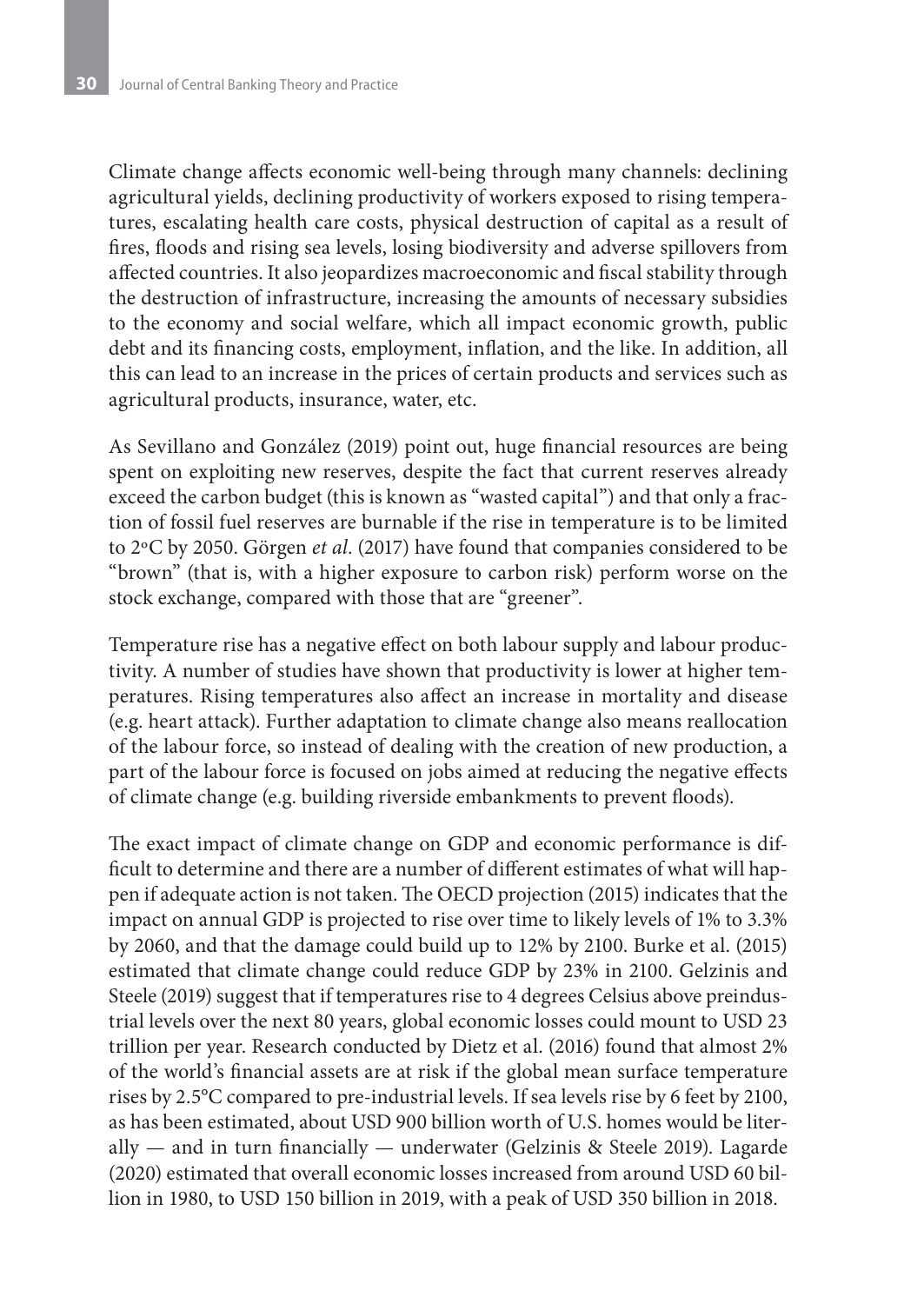Climate change affects economic well-being through many channels: declining agricultural yields, declining productivity of workers exposed to rising temperatures, escalating health care costs, physical destruction of capital as a result of fires, floods and rising sea levels, losing biodiversity and adverse spillovers from affected countries. It also jeopardizes macroeconomic and fiscal stability through the destruction of infrastructure, increasing the amounts of necessary subsidies to the economy and social welfare, which all impact economic growth, public debt and its financing costs, employment, inflation, and the like. In addition, all this can lead to an increase in the prices of certain products and services such as agricultural products, insurance, water, etc.

As Sevillano and González (2019) point out, huge financial resources are being spent on exploiting new reserves, despite the fact that current reserves already exceed the carbon budget (this is known as "wasted capital") and that only a fraction of fossil fuel reserves are burnable if the rise in temperature is to be limited to 2ºC by 2050. Görgen *et al*. (2017) have found that companies considered to be "brown" (that is, with a higher exposure to carbon risk) perform worse on the stock exchange, compared with those that are "greener".

Temperature rise has a negative effect on both labour supply and labour productivity. A number of studies have shown that productivity is lower at higher temperatures. Rising temperatures also affect an increase in mortality and disease (e.g. heart attack). Further adaptation to climate change also means reallocation of the labour force, so instead of dealing with the creation of new production, a part of the labour force is focused on jobs aimed at reducing the negative effects of climate change (e.g. building riverside embankments to prevent floods).

The exact impact of climate change on GDP and economic performance is difficult to determine and there are a number of different estimates of what will happen if adequate action is not taken. The OECD projection (2015) indicates that the impact on annual GDP is projected to rise over time to likely levels of 1% to 3.3% by 2060, and that the damage could build up to 12% by 2100. Burke et al. (2015) estimated that climate change could reduce GDP by 23% in 2100. Gelzinis and Steele (2019) suggest that if temperatures rise to 4 degrees Celsius above preindustrial levels over the next 80 years, global economic losses could mount to USD 23 trillion per year. Research conducted by Dietz et al. (2016) found that almost 2% of the world's financial assets are at risk if the global mean surface temperature rises by 2.5°C compared to pre-industrial levels. If sea levels rise by 6 feet by 2100, as has been estimated, about USD 900 billion worth of U.S. homes would be literally — and in turn financially — underwater (Gelzinis & Steele 2019). Lagarde (2020) estimated that overall economic losses increased from around USD 60 billion in 1980, to USD 150 billion in 2019, with a peak of USD 350 billion in 2018.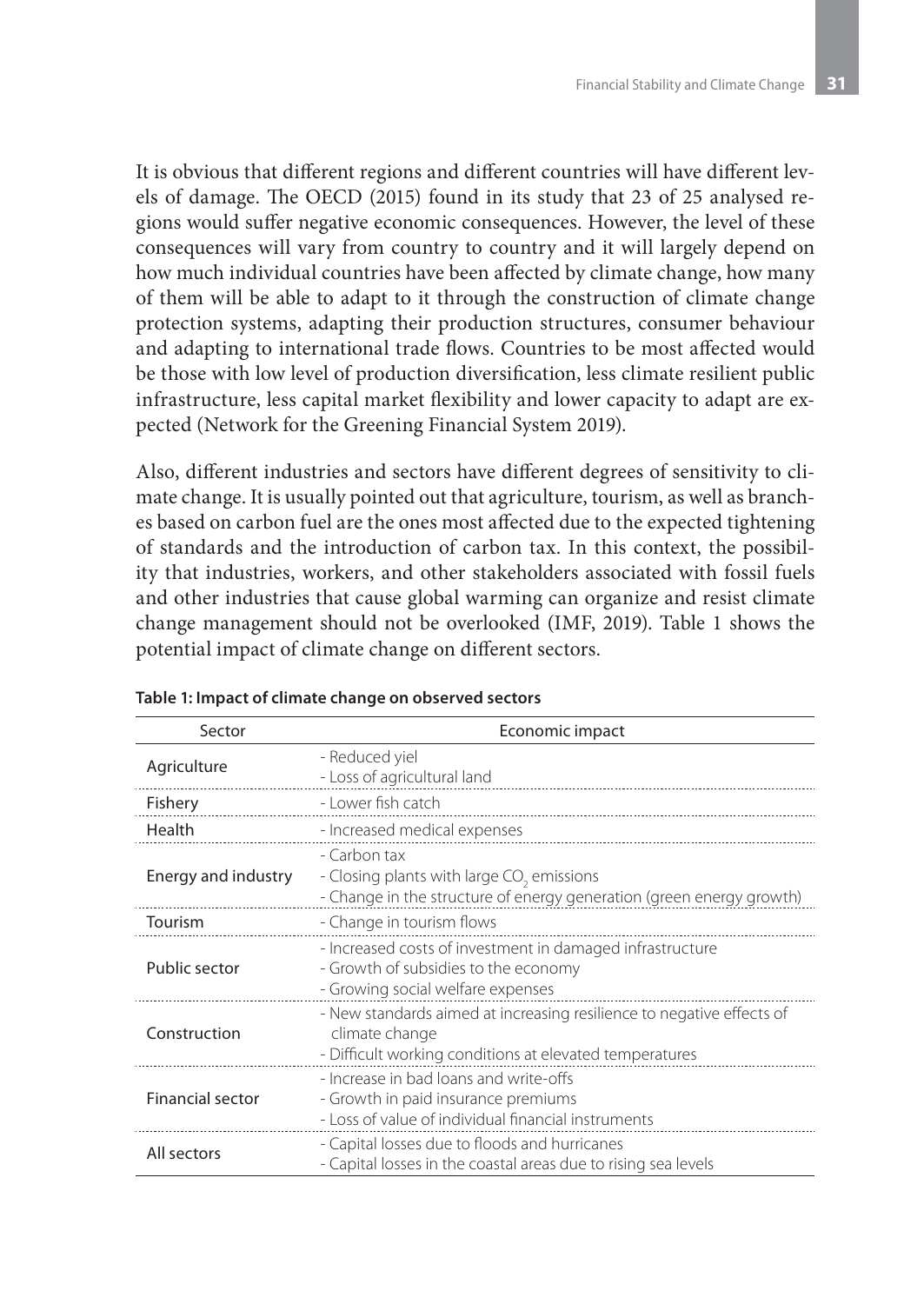It is obvious that different regions and different countries will have different levels of damage. The OECD (2015) found in its study that 23 of 25 analysed regions would suffer negative economic consequences. However, the level of these consequences will vary from country to country and it will largely depend on how much individual countries have been affected by climate change, how many of them will be able to adapt to it through the construction of climate change protection systems, adapting their production structures, consumer behaviour and adapting to international trade flows. Countries to be most affected would be those with low level of production diversification, less climate resilient public infrastructure, less capital market flexibility and lower capacity to adapt are expected (Network for the Greening Financial System 2019).

Also, different industries and sectors have different degrees of sensitivity to climate change. It is usually pointed out that agriculture, tourism, as well as branches based on carbon fuel are the ones most affected due to the expected tightening of standards and the introduction of carbon tax. In this context, the possibility that industries, workers, and other stakeholders associated with fossil fuels and other industries that cause global warming can organize and resist climate change management should not be overlooked (IMF, 2019). Table 1 shows the potential impact of climate change on different sectors.

| Sector                  | Economic impact                                                                                                                                    |  |  |  |
|-------------------------|----------------------------------------------------------------------------------------------------------------------------------------------------|--|--|--|
| Agriculture             | - Reduced yiel<br>- Loss of agricultural land                                                                                                      |  |  |  |
| Fishery                 | - Lower fish catch                                                                                                                                 |  |  |  |
| Health                  | - Increased medical expenses                                                                                                                       |  |  |  |
| Energy and industry     | - Carbon tax<br>- Closing plants with large CO <sub>2</sub> emissions<br>- Change in the structure of energy generation (green energy growth)      |  |  |  |
| Tourism                 | - Change in tourism flows                                                                                                                          |  |  |  |
| Public sector           | - Increased costs of investment in damaged infrastructure<br>- Growth of subsidies to the economy<br>- Growing social welfare expenses             |  |  |  |
| Construction            | - New standards aimed at increasing resilience to negative effects of<br>climate change<br>- Difficult working conditions at elevated temperatures |  |  |  |
| <b>Financial sector</b> | - Increase in bad loans and write-offs<br>- Growth in paid insurance premiums<br>- Loss of value of individual financial instruments               |  |  |  |
| All sectors             | - Capital losses due to floods and hurricanes<br>- Capital losses in the coastal areas due to rising sea levels                                    |  |  |  |

#### **Table 1: Impact of climate change on observed sectors**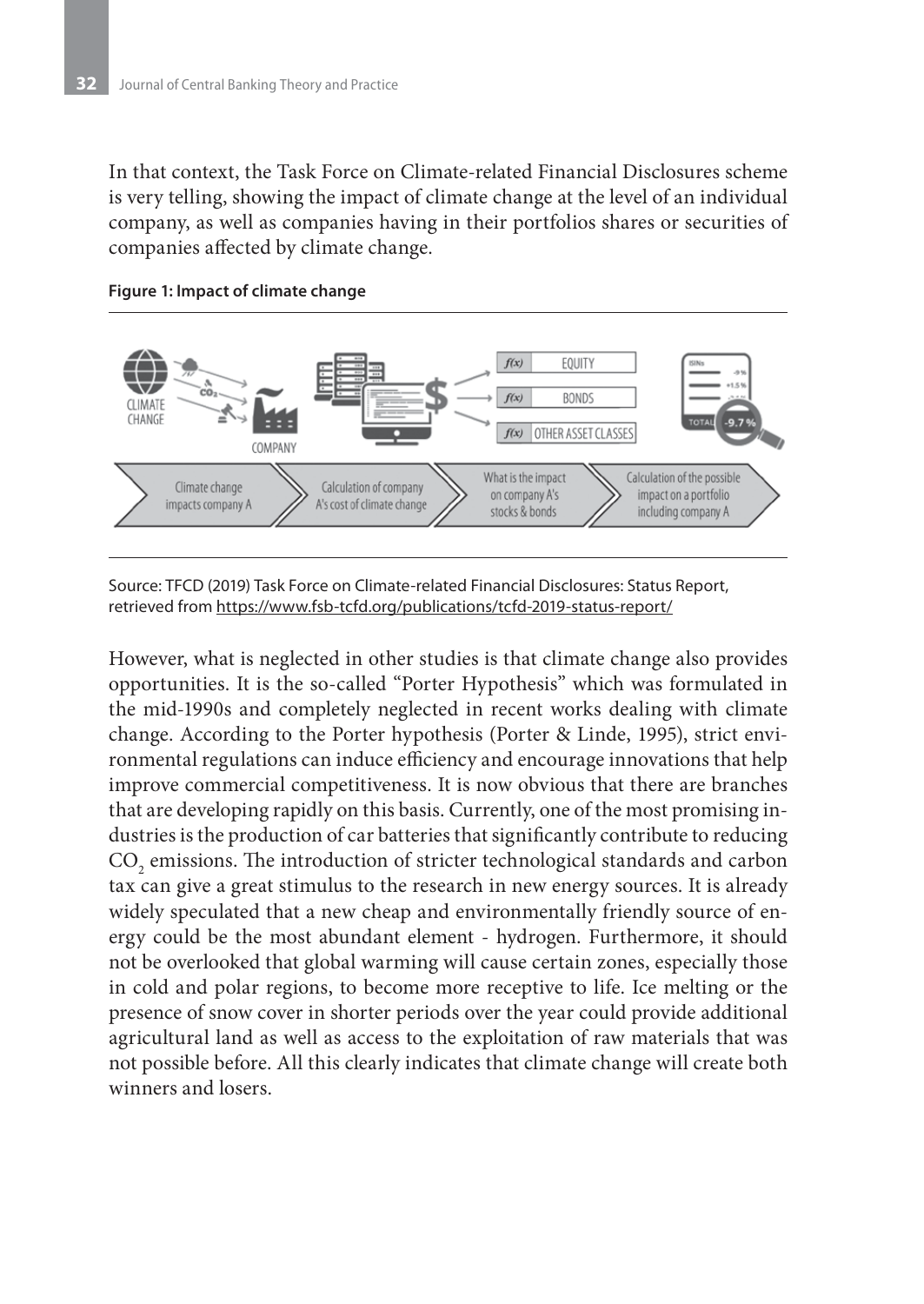In that context, the Task Force on Climate-related Financial Disclosures scheme is very telling, showing the impact of climate change at the level of an individual company, as well as companies having in their portfolios shares or securities of companies affected by climate change.



#### **Figure 1: Impact of climate change**

Source: TFCD (2019) Task Force on Climate-related Financial Disclosures: Status Report, retrieved from https://www.fsb-tcfd.org/publications/tcfd-2019-status-report/

However, what is neglected in other studies is that climate change also provides opportunities. It is the so-called "Porter Hypothesis" which was formulated in the mid-1990s and completely neglected in recent works dealing with climate change. According to the Porter hypothesis (Porter & Linde, 1995), strict environmental regulations can induce efficiency and encourage innovations that help improve commercial competitiveness. It is now obvious that there are branches that are developing rapidly on this basis. Currently, one of the most promising industries is the production of car batteries that significantly contribute to reducing  $\mathrm{CO}_2$  emissions. The introduction of stricter technological standards and carbon tax can give a great stimulus to the research in new energy sources. It is already widely speculated that a new cheap and environmentally friendly source of energy could be the most abundant element - hydrogen. Furthermore, it should not be overlooked that global warming will cause certain zones, especially those in cold and polar regions, to become more receptive to life. Ice melting or the presence of snow cover in shorter periods over the year could provide additional agricultural land as well as access to the exploitation of raw materials that was not possible before. All this clearly indicates that climate change will create both winners and losers.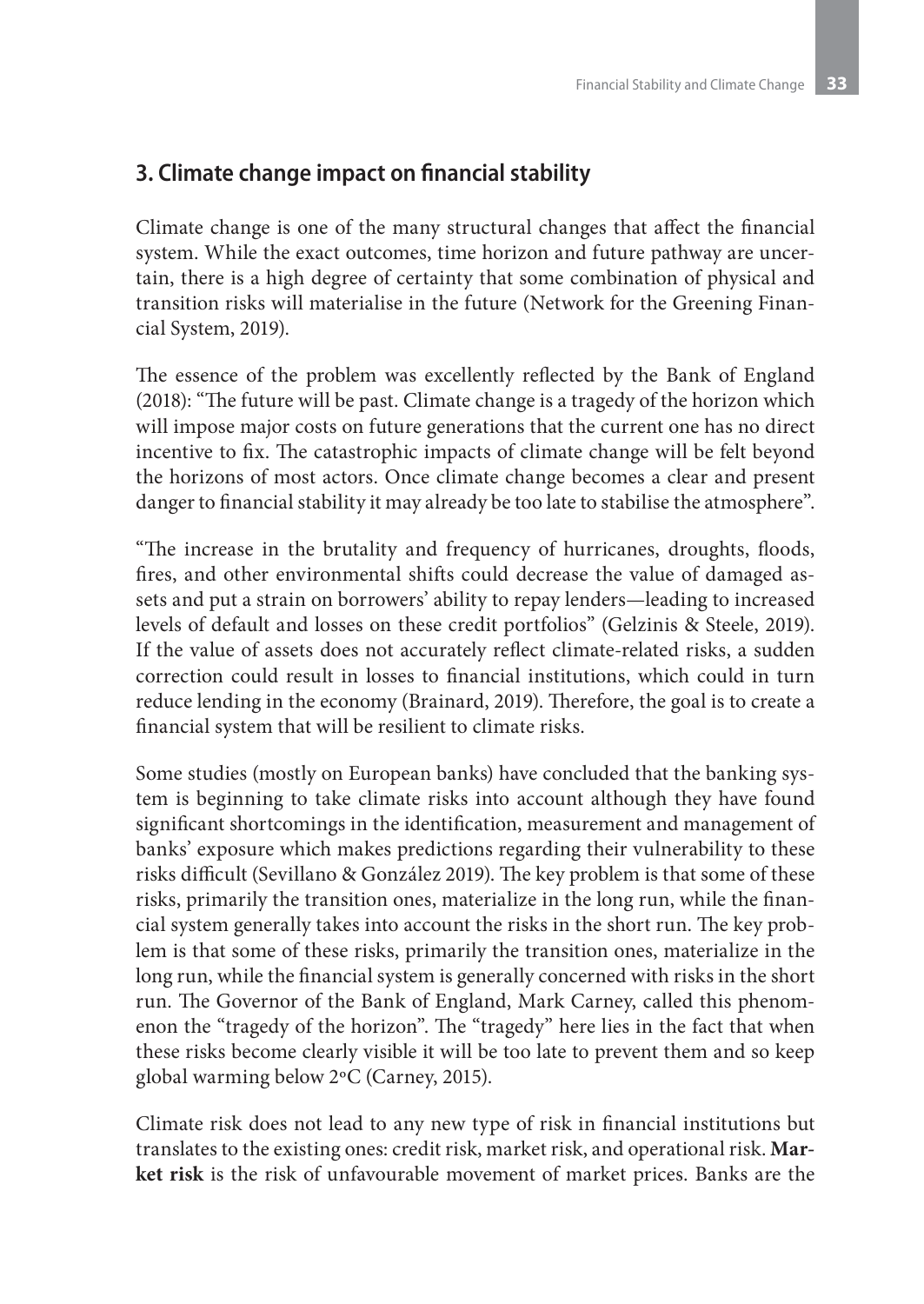# **3. Climate change impact on financial stability**

Climate change is one of the many structural changes that affect the financial system. While the exact outcomes, time horizon and future pathway are uncertain, there is a high degree of certainty that some combination of physical and transition risks will materialise in the future (Network for the Greening Financial System, 2019).

The essence of the problem was excellently reflected by the Bank of England (2018): "The future will be past. Climate change is a tragedy of the horizon which will impose major costs on future generations that the current one has no direct incentive to fix. The catastrophic impacts of climate change will be felt beyond the horizons of most actors. Once climate change becomes a clear and present danger to financial stability it may already be too late to stabilise the atmosphere".

"The increase in the brutality and frequency of hurricanes, droughts, floods, fires, and other environmental shifts could decrease the value of damaged assets and put a strain on borrowers' ability to repay lenders—leading to increased levels of default and losses on these credit portfolios" (Gelzinis & Steele, 2019). If the value of assets does not accurately reflect climate-related risks, a sudden correction could result in losses to financial institutions, which could in turn reduce lending in the economy (Brainard, 2019). Therefore, the goal is to create a financial system that will be resilient to climate risks.

Some studies (mostly on European banks) have concluded that the banking system is beginning to take climate risks into account although they have found significant shortcomings in the identification, measurement and management of banks' exposure which makes predictions regarding their vulnerability to these risks difficult (Sevillano & González 2019). The key problem is that some of these risks, primarily the transition ones, materialize in the long run, while the financial system generally takes into account the risks in the short run. The key problem is that some of these risks, primarily the transition ones, materialize in the long run, while the financial system is generally concerned with risks in the short run. The Governor of the Bank of England, Mark Carney, called this phenomenon the "tragedy of the horizon". The "tragedy" here lies in the fact that when these risks become clearly visible it will be too late to prevent them and so keep global warming below 2ºC (Carney, 2015).

Climate risk does not lead to any new type of risk in financial institutions but translates to the existing ones: credit risk, market risk, and operational risk. **Market risk** is the risk of unfavourable movement of market prices. Banks are the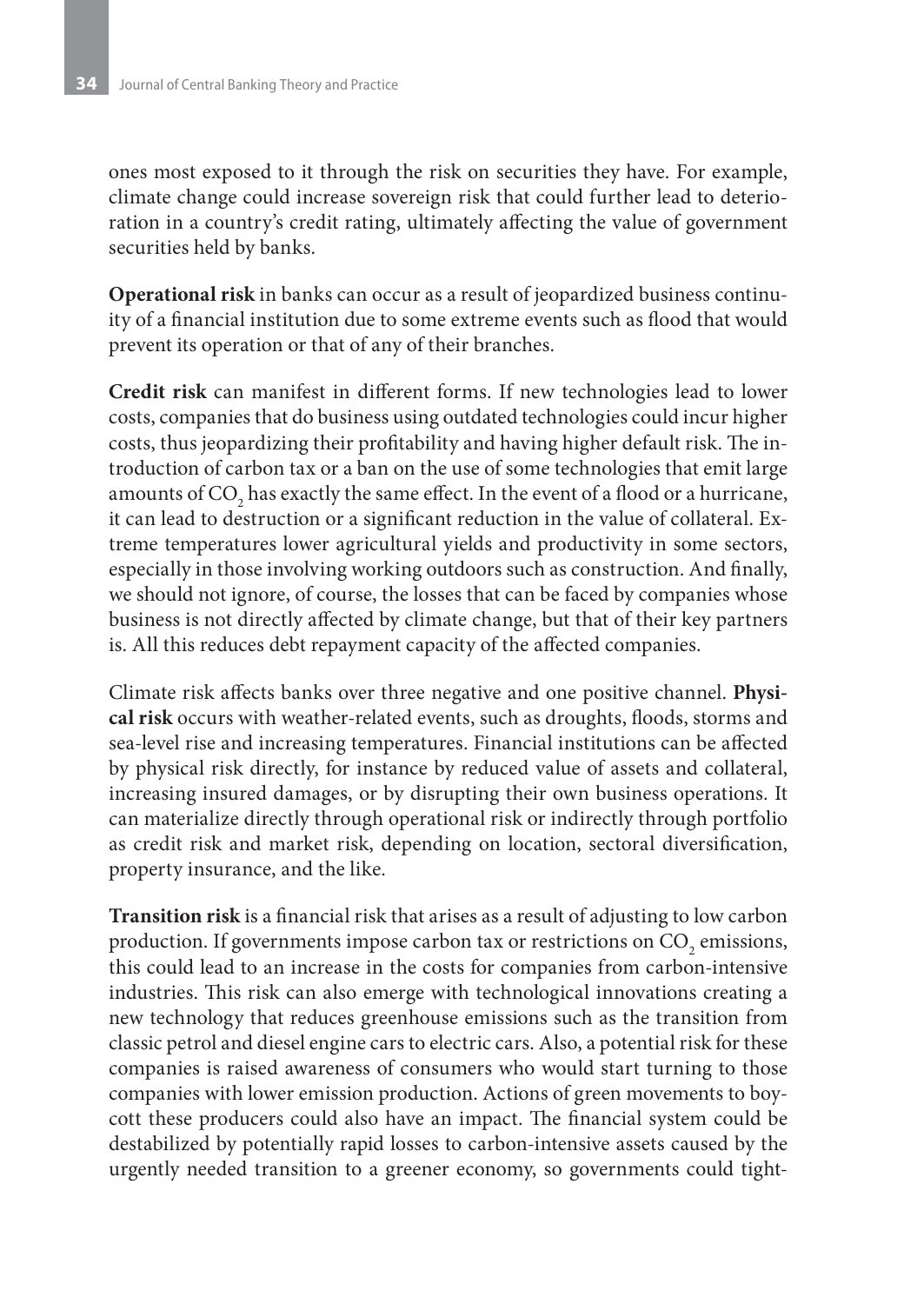ones most exposed to it through the risk on securities they have. For example, climate change could increase sovereign risk that could further lead to deterioration in a country's credit rating, ultimately affecting the value of government securities held by banks.

**Operational risk** in banks can occur as a result of jeopardized business continuity of a financial institution due to some extreme events such as flood that would prevent its operation or that of any of their branches.

**Credit risk** can manifest in different forms. If new technologies lead to lower costs, companies that do business using outdated technologies could incur higher costs, thus jeopardizing their profitability and having higher default risk. The introduction of carbon tax or a ban on the use of some technologies that emit large amounts of CO<sub>2</sub> has exactly the same effect. In the event of a flood or a hurricane, it can lead to destruction or a significant reduction in the value of collateral. Extreme temperatures lower agricultural yields and productivity in some sectors, especially in those involving working outdoors such as construction. And finally, we should not ignore, of course, the losses that can be faced by companies whose business is not directly affected by climate change, but that of their key partners is. All this reduces debt repayment capacity of the affected companies.

Climate risk affects banks over three negative and one positive channel. **Physical risk** occurs with weather-related events, such as droughts, floods, storms and sea-level rise and increasing temperatures. Financial institutions can be affected by physical risk directly, for instance by reduced value of assets and collateral, increasing insured damages, or by disrupting their own business operations. It can materialize directly through operational risk or indirectly through portfolio as credit risk and market risk, depending on location, sectoral diversification, property insurance, and the like.

**Transition risk** is a financial risk that arises as a result of adjusting to low carbon production. If governments impose carbon tax or restrictions on  $\mathrm{CO}_2$  emissions, this could lead to an increase in the costs for companies from carbon-intensive industries. This risk can also emerge with technological innovations creating a new technology that reduces greenhouse emissions such as the transition from classic petrol and diesel engine cars to electric cars. Also, a potential risk for these companies is raised awareness of consumers who would start turning to those companies with lower emission production. Actions of green movements to boycott these producers could also have an impact. The financial system could be destabilized by potentially rapid losses to carbon-intensive assets caused by the urgently needed transition to a greener economy, so governments could tight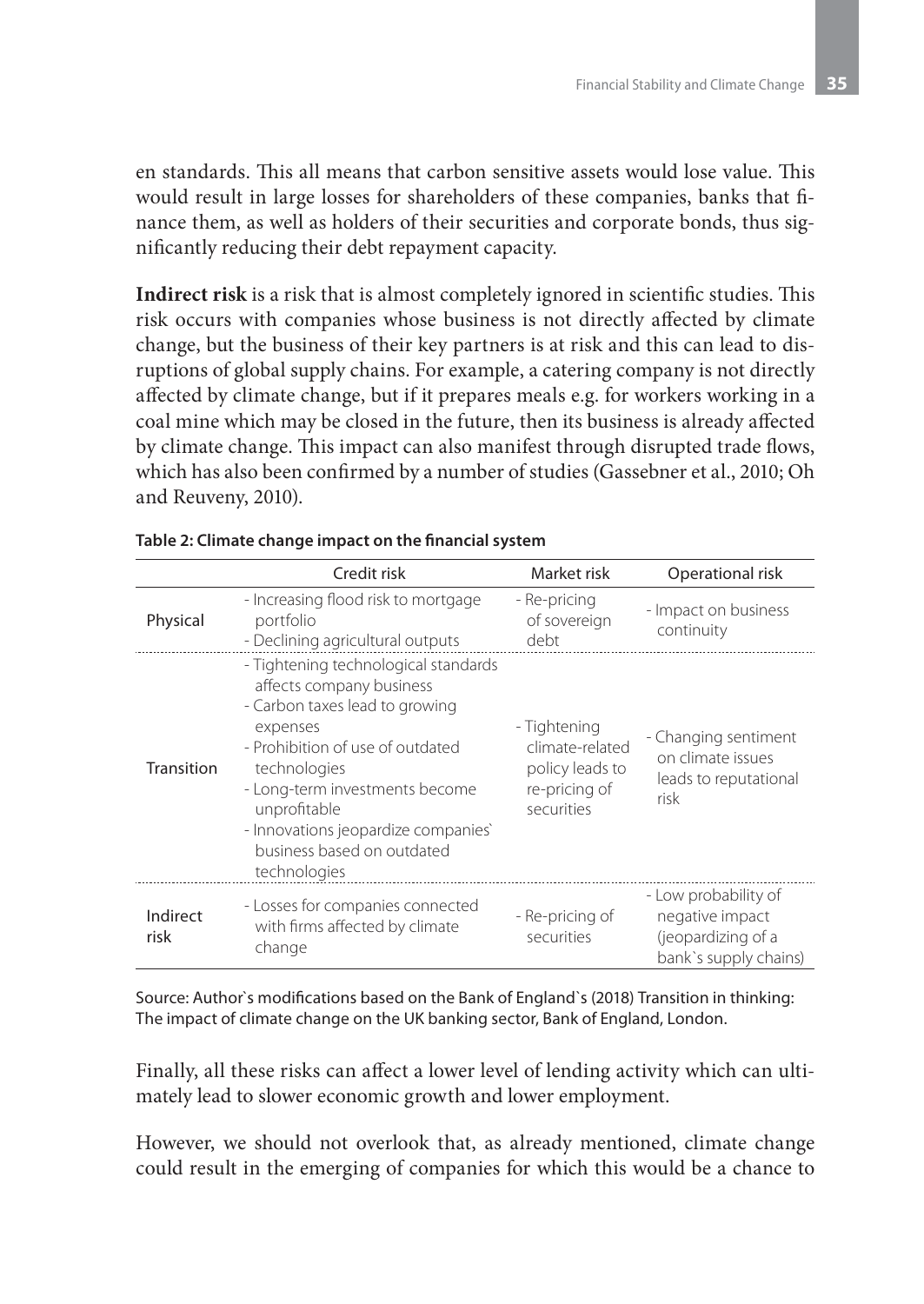en standards. This all means that carbon sensitive assets would lose value. This would result in large losses for shareholders of these companies, banks that finance them, as well as holders of their securities and corporate bonds, thus significantly reducing their debt repayment capacity.

**Indirect risk** is a risk that is almost completely ignored in scientific studies. This risk occurs with companies whose business is not directly affected by climate change, but the business of their key partners is at risk and this can lead to disruptions of global supply chains. For example, a catering company is not directly affected by climate change, but if it prepares meals e.g. for workers working in a coal mine which may be closed in the future, then its business is already affected by climate change. This impact can also manifest through disrupted trade flows, which has also been confirmed by a number of studies (Gassebner et al., 2010; Oh and Reuveny, 2010).

|                  | Credit risk                                                                                                                                                                                                                                                                                               | Market risk                                                                       | Operational risk                                                                       |
|------------------|-----------------------------------------------------------------------------------------------------------------------------------------------------------------------------------------------------------------------------------------------------------------------------------------------------------|-----------------------------------------------------------------------------------|----------------------------------------------------------------------------------------|
| Physical         | - Increasing flood risk to mortgage<br>portfolio<br>- Declining agricultural outputs                                                                                                                                                                                                                      | - Re-pricing<br>of sovereign<br>debt                                              | - Impact on business<br>continuity                                                     |
| Transition       | - Tightening technological standards<br>affects company business<br>- Carbon taxes lead to growing<br>expenses<br>- Prohibition of use of outdated<br>technologies<br>- Long-term investments become<br>unprofitable<br>- Innovations jeopardize companies'<br>business based on outdated<br>technologies | - Tightening<br>climate-related<br>policy leads to<br>re-pricing of<br>securities | - Changing sentiment<br>on climate issues<br>leads to reputational<br>risk             |
| Indirect<br>risk | - Losses for companies connected<br>with firms affected by climate<br>change                                                                                                                                                                                                                              | - Re-pricing of<br>securities                                                     | - Low probability of<br>negative impact<br>(jeopardizing of a<br>bank's supply chains) |

| Table 2: Climate change impact on the financial system |  |  |  |  |  |  |  |
|--------------------------------------------------------|--|--|--|--|--|--|--|
|--------------------------------------------------------|--|--|--|--|--|--|--|

Source: Author`s modifications based on the Bank of England`s (2018) Transition in thinking: The impact of climate change on the UK banking sector, Bank of England, London.

Finally, all these risks can affect a lower level of lending activity which can ultimately lead to slower economic growth and lower employment.

However, we should not overlook that, as already mentioned, climate change could result in the emerging of companies for which this would be a chance to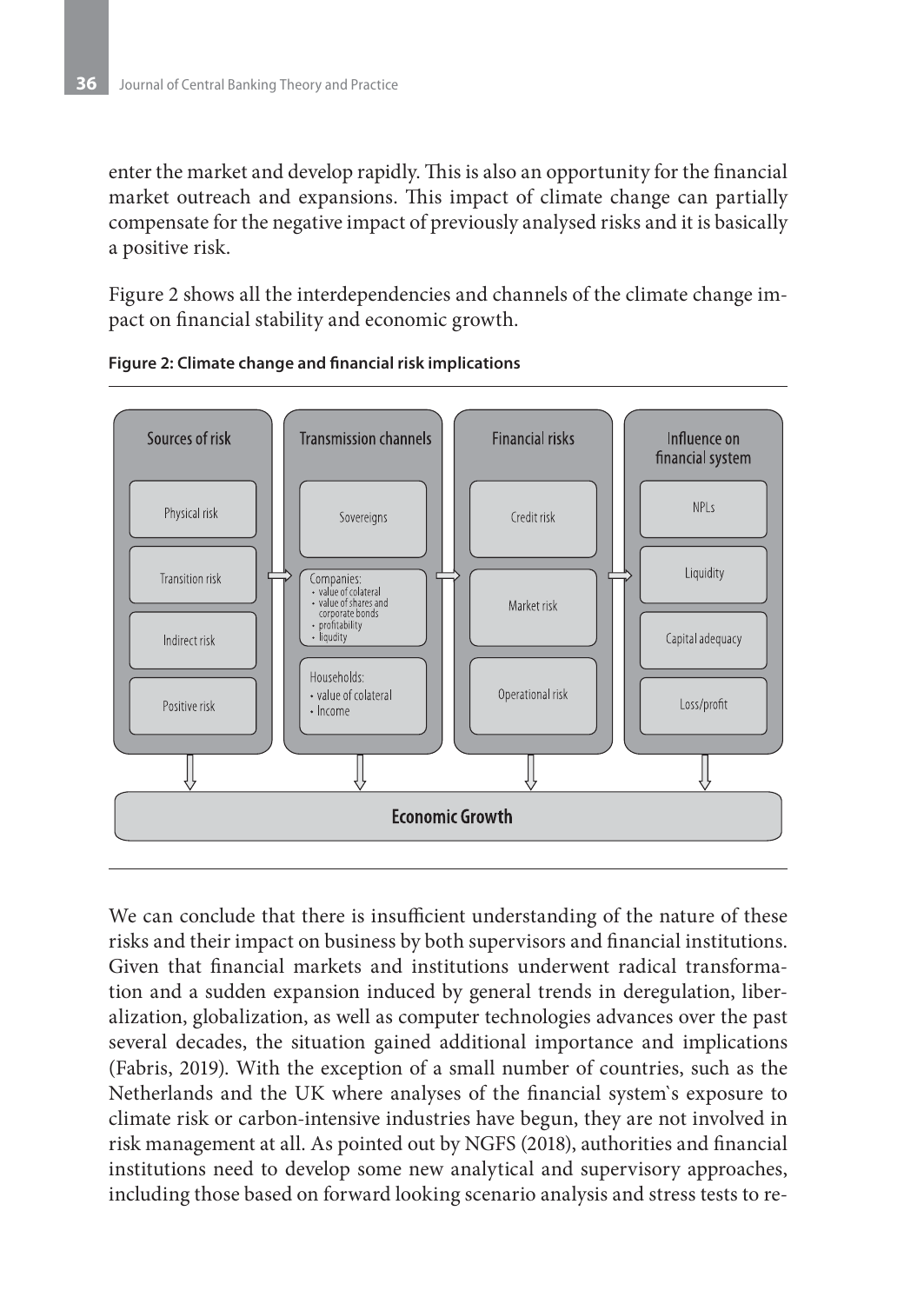enter the market and develop rapidly. This is also an opportunity for the financial market outreach and expansions. This impact of climate change can partially compensate for the negative impact of previously analysed risks and it is basically a positive risk.

Figure 2 shows all the interdependencies and channels of the climate change impact on financial stability and economic growth.





We can conclude that there is insufficient understanding of the nature of these risks and their impact on business by both supervisors and financial institutions. Given that financial markets and institutions underwent radical transformation and a sudden expansion induced by general trends in deregulation, liberalization, globalization, as well as computer technologies advances over the past several decades, the situation gained additional importance and implications (Fabris, 2019). With the exception of a small number of countries, such as the Netherlands and the UK where analyses of the financial system`s exposure to climate risk or carbon-intensive industries have begun, they are not involved in risk management at all. As pointed out by NGFS (2018), authorities and financial institutions need to develop some new analytical and supervisory approaches, including those based on forward looking scenario analysis and stress tests to re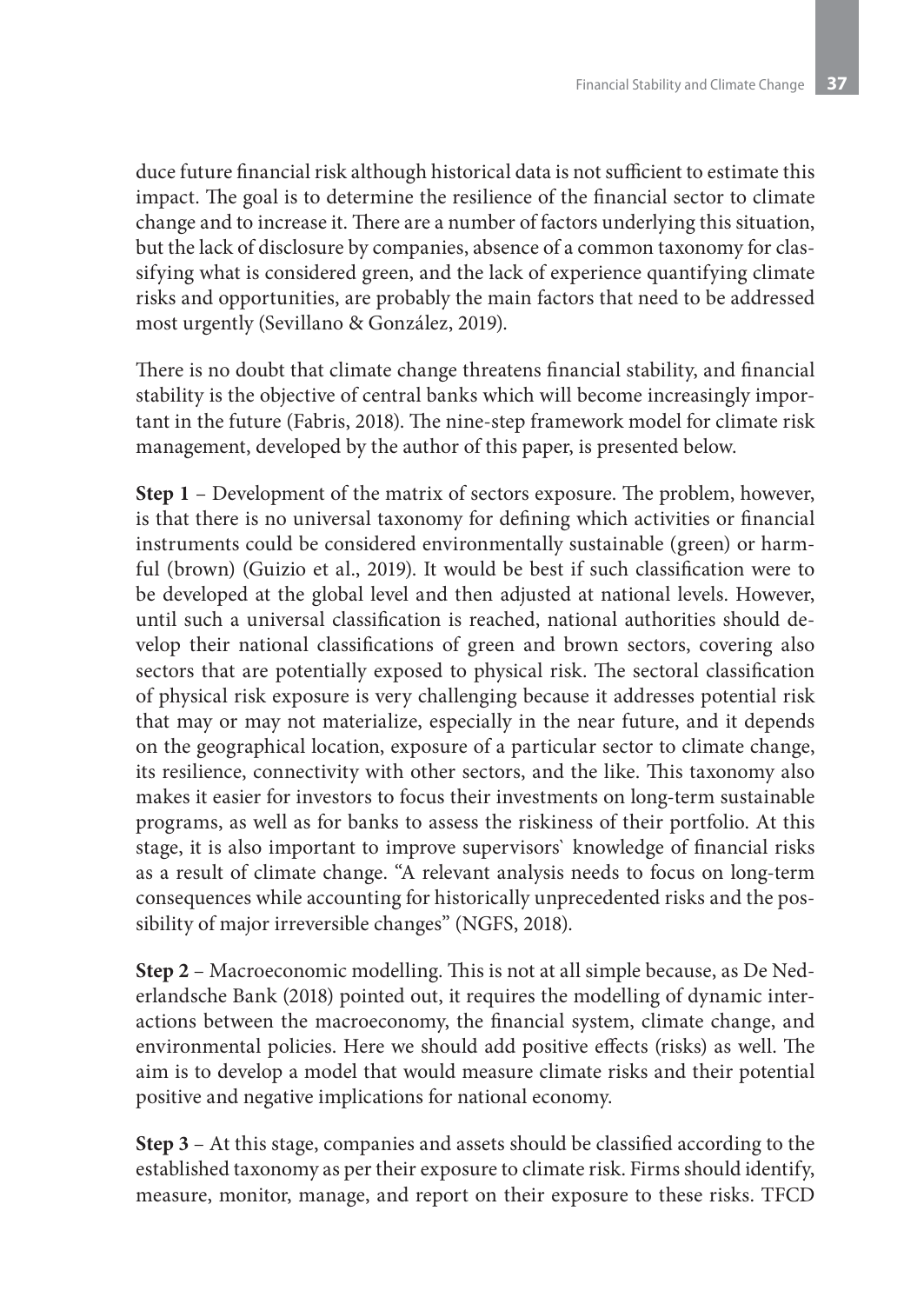duce future financial risk although historical data is not sufficient to estimate this impact. The goal is to determine the resilience of the financial sector to climate change and to increase it. There are a number of factors underlying this situation, but the lack of disclosure by companies, absence of a common taxonomy for classifying what is considered green, and the lack of experience quantifying climate risks and opportunities, are probably the main factors that need to be addressed most urgently (Sevillano & González, 2019).

There is no doubt that climate change threatens financial stability, and financial stability is the objective of central banks which will become increasingly important in the future (Fabris, 2018). The nine-step framework model for climate risk management, developed by the author of this paper, is presented below.

**Step 1** – Development of the matrix of sectors exposure. The problem, however, is that there is no universal taxonomy for defining which activities or financial instruments could be considered environmentally sustainable (green) or harmful (brown) (Guizio et al., 2019). It would be best if such classification were to be developed at the global level and then adjusted at national levels. However, until such a universal classification is reached, national authorities should develop their national classifications of green and brown sectors, covering also sectors that are potentially exposed to physical risk. The sectoral classification of physical risk exposure is very challenging because it addresses potential risk that may or may not materialize, especially in the near future, and it depends on the geographical location, exposure of a particular sector to climate change, its resilience, connectivity with other sectors, and the like. This taxonomy also makes it easier for investors to focus their investments on long-term sustainable programs, as well as for banks to assess the riskiness of their portfolio. At this stage, it is also important to improve supervisors` knowledge of financial risks as a result of climate change. "A relevant analysis needs to focus on long-term consequences while accounting for historically unprecedented risks and the possibility of major irreversible changes" (NGFS, 2018).

**Step 2** – Macroeconomic modelling. This is not at all simple because, as De Nederlandsche Bank (2018) pointed out, it requires the modelling of dynamic interactions between the macroeconomy, the financial system, climate change, and environmental policies. Here we should add positive effects (risks) as well. The aim is to develop a model that would measure climate risks and their potential positive and negative implications for national economy.

**Step 3** – At this stage, companies and assets should be classified according to the established taxonomy as per their exposure to climate risk. Firms should identify, measure, monitor, manage, and report on their exposure to these risks. TFCD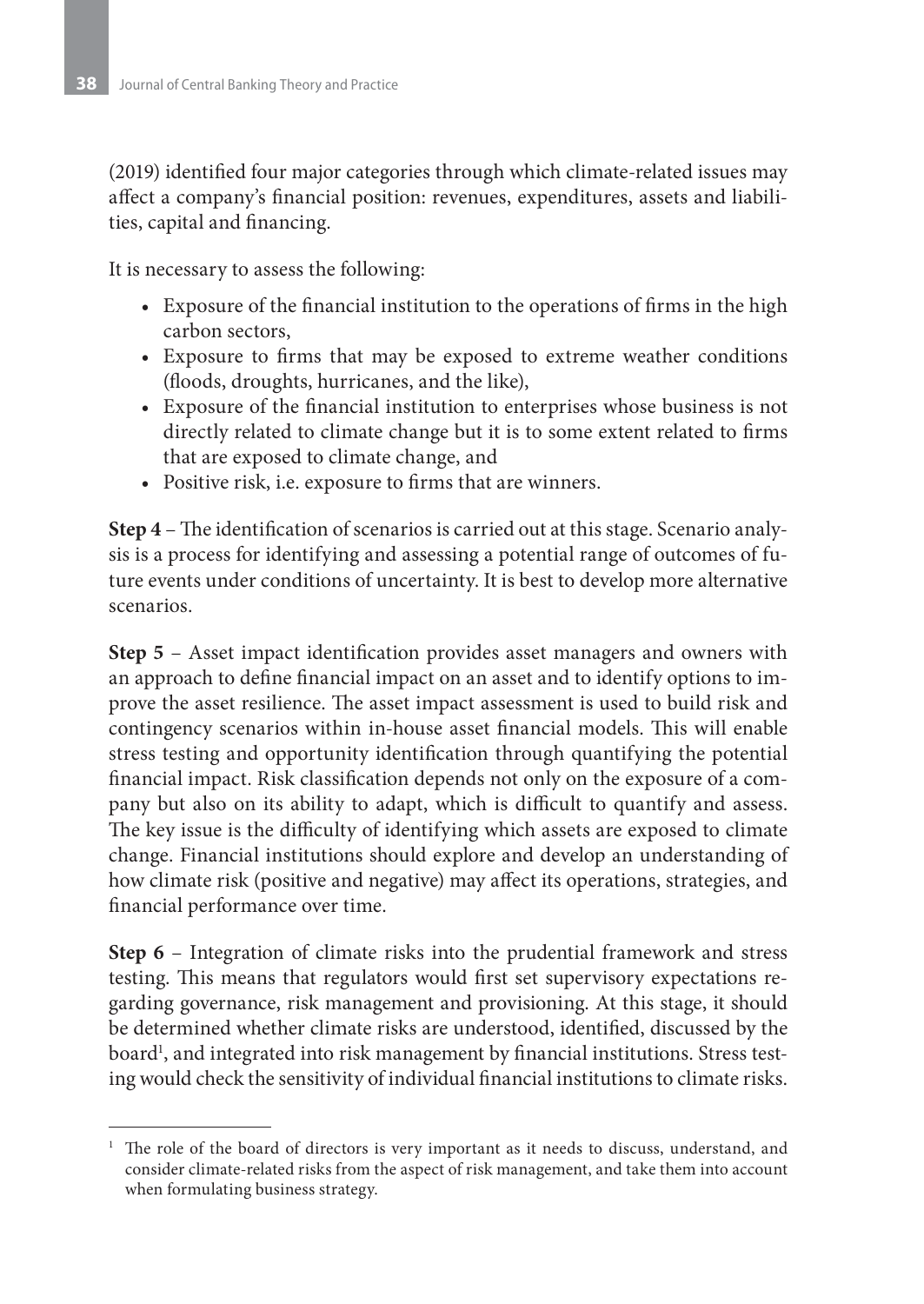(2019) identified four major categories through which climate-related issues may affect a company's financial position: revenues, expenditures, assets and liabilities, capital and financing.

It is necessary to assess the following:

- Exposure of the financial institution to the operations of firms in the high carbon sectors,
- Exposure to firms that may be exposed to extreme weather conditions (floods, droughts, hurricanes, and the like),
- • Exposure of the financial institution to enterprises whose business is not directly related to climate change but it is to some extent related to firms that are exposed to climate change, and
- • Positive risk, i.e. exposure to firms that are winners.

**Step 4** – The identification of scenarios is carried out at this stage. Scenario analysis is a process for identifying and assessing a potential range of outcomes of future events under conditions of uncertainty. It is best to develop more alternative scenarios.

**Step 5** – Asset impact identification provides asset managers and owners with an approach to define financial impact on an asset and to identify options to improve the asset resilience. The asset impact assessment is used to build risk and contingency scenarios within in-house asset financial models. This will enable stress testing and opportunity identification through quantifying the potential financial impact. Risk classification depends not only on the exposure of a company but also on its ability to adapt, which is difficult to quantify and assess. The key issue is the difficulty of identifying which assets are exposed to climate change. Financial institutions should explore and develop an understanding of how climate risk (positive and negative) may affect its operations, strategies, and financial performance over time.

**Step 6** – Integration of climate risks into the prudential framework and stress testing. This means that regulators would first set supervisory expectations regarding governance, risk management and provisioning. At this stage, it should be determined whether climate risks are understood, identified, discussed by the board<sup>1</sup>, and integrated into risk management by financial institutions. Stress testing would check the sensitivity of individual financial institutions to climate risks.

<sup>&</sup>lt;sup>1</sup> The role of the board of directors is very important as it needs to discuss, understand, and consider climate-related risks from the aspect of risk management, and take them into account when formulating business strategy.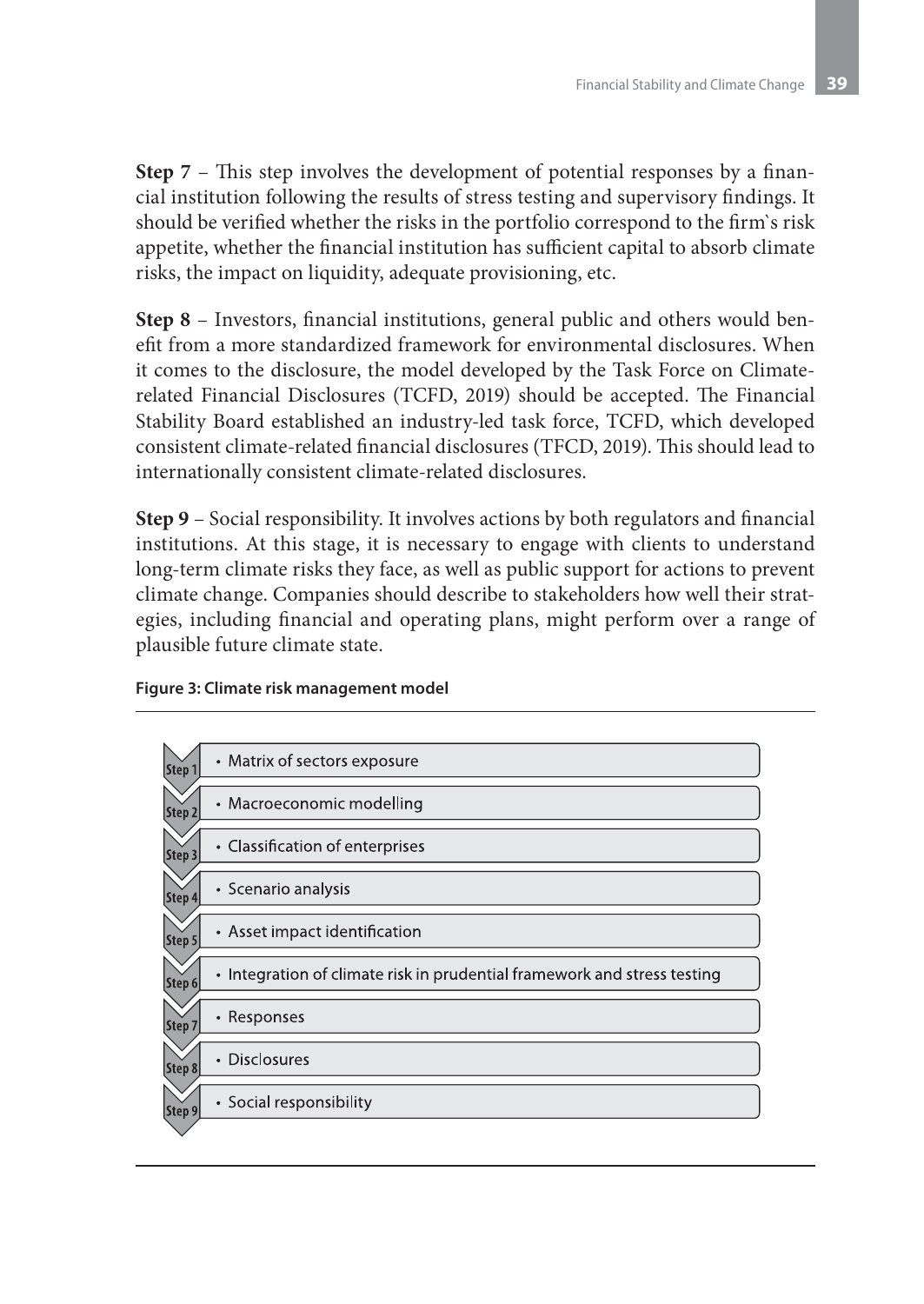**Step 7** – This step involves the development of potential responses by a financial institution following the results of stress testing and supervisory findings. It should be verified whether the risks in the portfolio correspond to the firm`s risk appetite, whether the financial institution has sufficient capital to absorb climate risks, the impact on liquidity, adequate provisioning, etc.

**Step 8** – Investors, financial institutions, general public and others would benefit from a more standardized framework for environmental disclosures. When it comes to the disclosure, the model developed by the Task Force on Climaterelated Financial Disclosures (TCFD, 2019) should be accepted. The Financial Stability Board established an industry-led task force, TCFD, which developed consistent climate-related financial disclosures (TFCD, 2019). This should lead to internationally consistent climate-related disclosures.

**Step 9** – Social responsibility. It involves actions by both regulators and financial institutions. At this stage, it is necessary to engage with clients to understand long-term climate risks they face, as well as public support for actions to prevent climate change. Companies should describe to stakeholders how well their strategies, including financial and operating plans, might perform over a range of plausible future climate state.

#### **Figure 3: Climate risk management model**

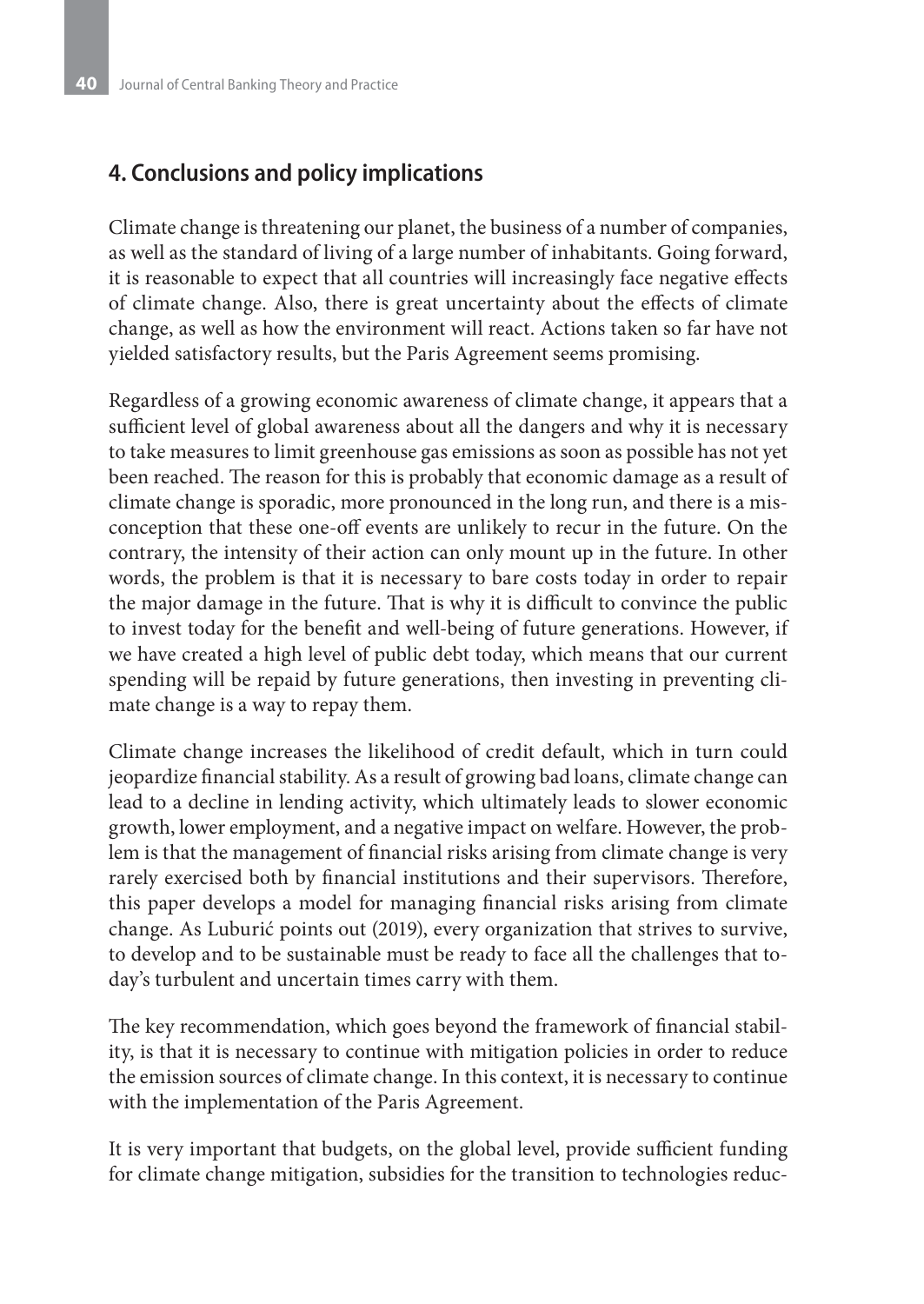## **4. Conclusions and policy implications**

Climate change is threatening our planet, the business of a number of companies, as well as the standard of living of a large number of inhabitants. Going forward, it is reasonable to expect that all countries will increasingly face negative effects of climate change. Also, there is great uncertainty about the effects of climate change, as well as how the environment will react. Actions taken so far have not yielded satisfactory results, but the Paris Agreement seems promising.

Regardless of a growing economic awareness of climate change, it appears that a sufficient level of global awareness about all the dangers and why it is necessary to take measures to limit greenhouse gas emissions as soon as possible has not yet been reached. The reason for this is probably that economic damage as a result of climate change is sporadic, more pronounced in the long run, and there is a misconception that these one-off events are unlikely to recur in the future. On the contrary, the intensity of their action can only mount up in the future. In other words, the problem is that it is necessary to bare costs today in order to repair the major damage in the future. That is why it is difficult to convince the public to invest today for the benefit and well-being of future generations. However, if we have created a high level of public debt today, which means that our current spending will be repaid by future generations, then investing in preventing climate change is a way to repay them.

Climate change increases the likelihood of credit default, which in turn could jeopardize financial stability. As a result of growing bad loans, climate change can lead to a decline in lending activity, which ultimately leads to slower economic growth, lower employment, and a negative impact on welfare. However, the problem is that the management of financial risks arising from climate change is very rarely exercised both by financial institutions and their supervisors. Therefore, this paper develops a model for managing financial risks arising from climate change. As Luburić points out (2019), every organization that strives to survive, to develop and to be sustainable must be ready to face all the challenges that today's turbulent and uncertain times carry with them.

The key recommendation, which goes beyond the framework of financial stability, is that it is necessary to continue with mitigation policies in order to reduce the emission sources of climate change. In this context, it is necessary to continue with the implementation of the Paris Agreement.

It is very important that budgets, on the global level, provide sufficient funding for climate change mitigation, subsidies for the transition to technologies reduc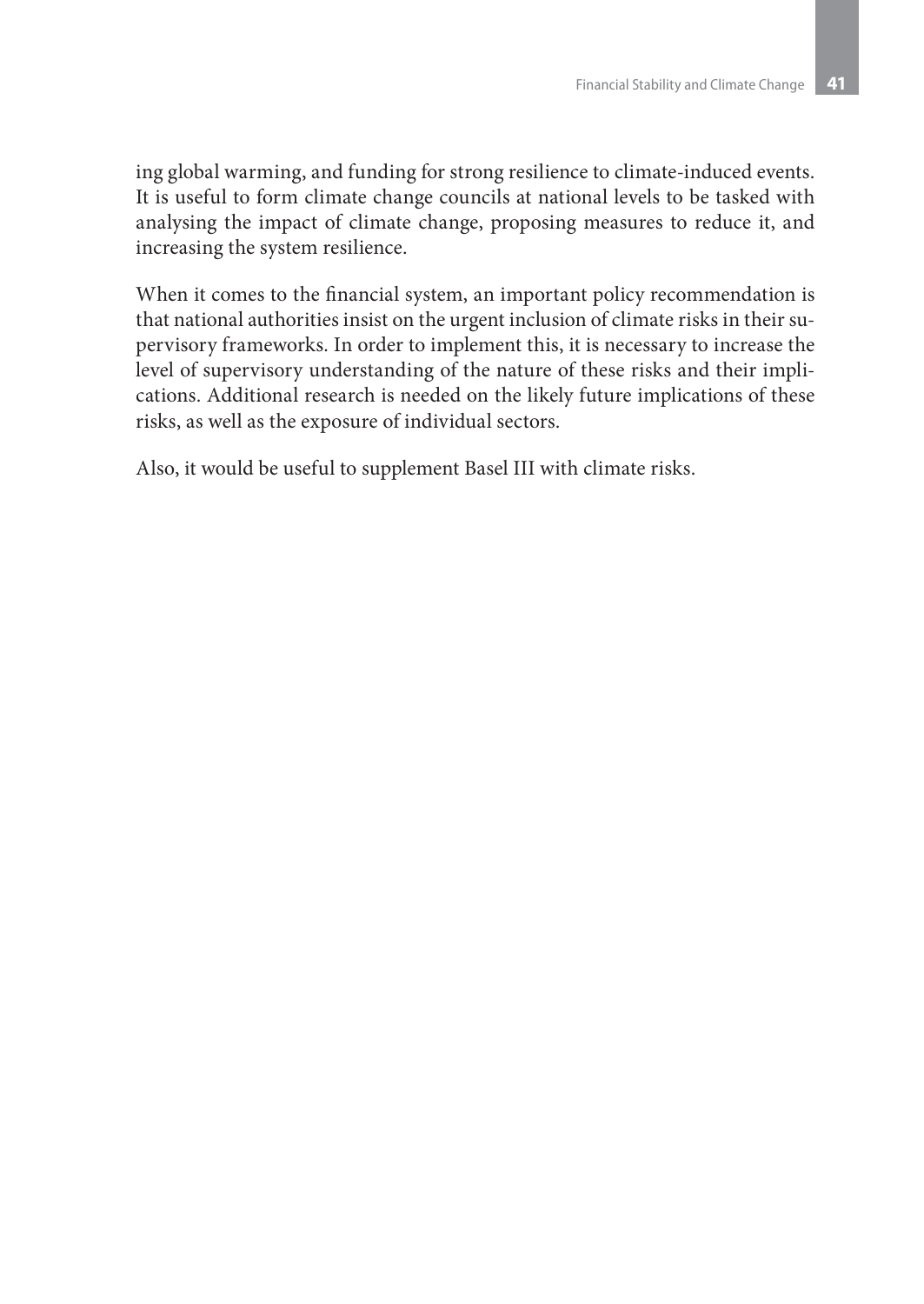ing global warming, and funding for strong resilience to climate-induced events. It is useful to form climate change councils at national levels to be tasked with analysing the impact of climate change, proposing measures to reduce it, and increasing the system resilience.

When it comes to the financial system, an important policy recommendation is that national authorities insist on the urgent inclusion of climate risks in their supervisory frameworks. In order to implement this, it is necessary to increase the level of supervisory understanding of the nature of these risks and their implications. Additional research is needed on the likely future implications of these risks, as well as the exposure of individual sectors.

Also, it would be useful to supplement Basel III with climate risks.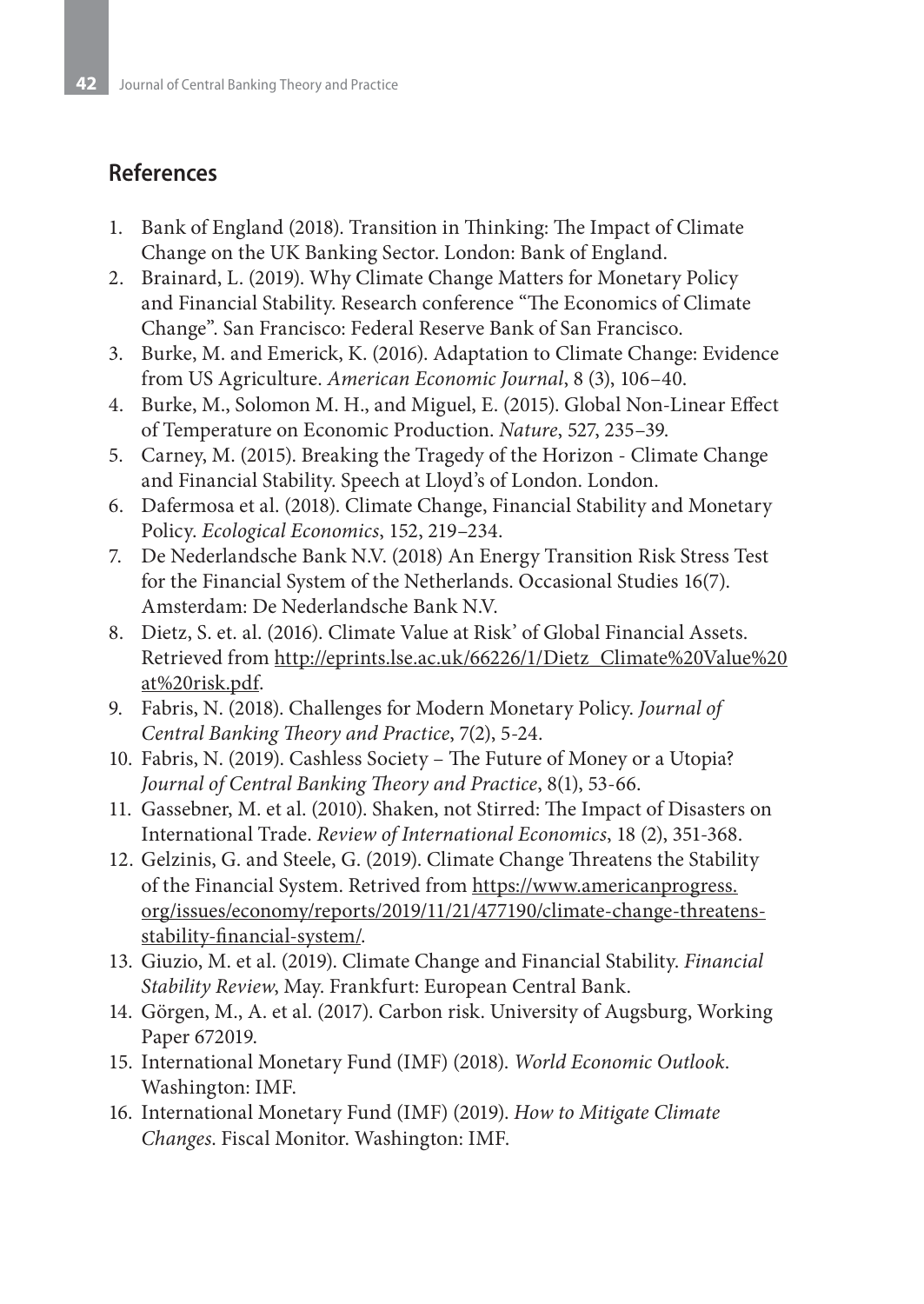# **References**

- 1. Bank of England (2018). Transition in Thinking: The Impact of Climate Change on the UK Banking Sector. London: Bank of England.
- 2. Brainard, L. (2019). Why Climate Change Matters for Monetary Policy and Financial Stability. Research conference "The Economics of Climate Change". San Francisco: Federal Reserve Bank of San Francisco.
- 3. Burke, M. and Emerick, K. (2016). Adaptation to Climate Change: Evidence from US Agriculture. *American Economic Journal*, 8 (3), 106–40.
- 4. Burke, M., Solomon M. H., and Miguel, E. (2015). Global Non-Linear Effect of Temperature on Economic Production. *Nature*, 527, 235–39.
- 5. Carney, M. (2015). Breaking the Tragedy of the Horizon Climate Change and Financial Stability. Speech at Lloyd's of London. London.
- 6. Dafermosa et al. (2018). Climate Change, Financial Stability and Monetary Policy. *Ecological Economics*, 152, 219–234.
- 7. De Nederlandsche Bank N.V. (2018) An Energy Transition Risk Stress Test for the Financial System of the Netherlands. Occasional Studies 16(7). Amsterdam: De Nederlandsche Bank N.V.
- 8. Dietz, S. et. al. (2016). Climate Value at Risk' of Global Financial Assets. Retrieved from http://eprints.lse.ac.uk/66226/1/Dietz\_Climate%20Value%20 at%20risk.pdf.
- 9. Fabris, N. (2018). Challenges for Modern Monetary Policy. *Journal of Central Banking Theory and Practice*, 7(2), 5-24.
- 10. Fabris, N. (2019). Cashless Society The Future of Money or a Utopia? *Journal of Central Banking Theory and Practice*, 8(1), 53-66.
- 11. Gassebner, M. et al. (2010). Shaken, not Stirred: The Impact of Disasters on International Trade. *Review of International Economics*, 18 (2), 351-368.
- 12. Gelzinis, G. and Steele, G. (2019). Climate Change Threatens the Stability of the Financial System. Retrived from https://www.americanprogress. org/issues/economy/reports/2019/11/21/477190/climate-change-threatensstability-financial-system/.
- 13. Giuzio, M. et al. (2019). Climate Change and Financial Stability. *Financial Stability Review*, May. Frankfurt: European Central Bank.
- 14. Görgen, M., A. et al. (2017). Carbon risk. University of Augsburg, Working Paper 672019.
- 15. International Monetary Fund (IMF) (2018). *World Economic Outlook*. Washington: IMF.
- 16. International Monetary Fund (IMF) (2019). *How to Mitigate Climate Changes*. Fiscal Monitor. Washington: IMF.